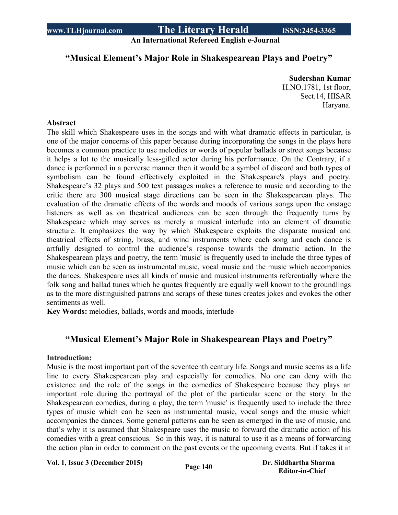**An International Refereed English e-Journal**

## **"Musical Element's Major Role in Shakespearean Plays and Poetry"**

**Sudershan Kumar** H.NO.1781, 1st floor, Sect.14, HISAR Haryana.

### **Abstract**

The skill which Shakespeare uses in the songs and with what dramatic effects in particular, is one of the major concerns of this paper because during incorporating the songs in the plays here becomes a common practice to use melodies or words of popular ballads or street songs because it helps a lot to the musically less-gifted actor during his performance. On the Contrary, if a dance is performed in a perverse manner then it would be a symbol of discord and both types of symbolism can be found effectively exploited in the Shakespeare's plays and poetry. Shakespeare's 32 plays and 500 text passages makes a reference to music and according to the critic there are 300 musical stage directions can be seen in the Shakespearean plays. The evaluation of the dramatic effects of the words and moods of various songs upon the onstage listeners as well as on theatrical audiences can be seen through the frequently turns by Shakespeare which may serves as merely a musical interlude into an element of dramatic structure. It emphasizes the way by which Shakespeare exploits the disparate musical and theatrical effects of string, brass, and wind instruments where each song and each dance is artfully designed to control the audience's response towards the dramatic action. In the Shakespearean plays and poetry, the term 'music' is frequently used to include the three types of music which can be seen as instrumental music, vocal music and the music which accompanies the dances. Shakespeare uses all kinds of music and musical instruments referentially where the folk song and ballad tunes which he quotes frequently are equally well known to the groundlings as to the more distinguished patrons and scraps of these tunes creates jokes and evokes the other sentiments as well.

**Key Words:** melodies, ballads, words and moods, interlude

## **"Musical Element's Major Role in Shakespearean Plays and Poetry"**

### **Introduction:**

Music is the most important part of the seventeenth century life. Songs and music seems as a life line to every Shakespearean play and especially for comedies. No one can deny with the existence and the role of the songs in the comedies of Shakespeare because they plays an important role during the portrayal of the plot of the particular scene or the story. In the Shakespearean comedies, during a play, the term 'music' is frequently used to include the three types of music which can be seen as instrumental music, vocal songs and the music which accompanies the dances. Some general patterns can be seen as emerged in the use of music, and that's why it is assumed that Shakespeare uses the music to forward the dramatic action of his comedies with a great conscious. So in this way, it is natural to use it as a means of forwarding the action plan in order to comment on the past events or the upcoming events. But if takes it in

**Vol. 1, Issue <sup>3</sup> (December 2015) Page <sup>140</sup> Dr. Siddhartha Sharma**

**Editor-in-Chief**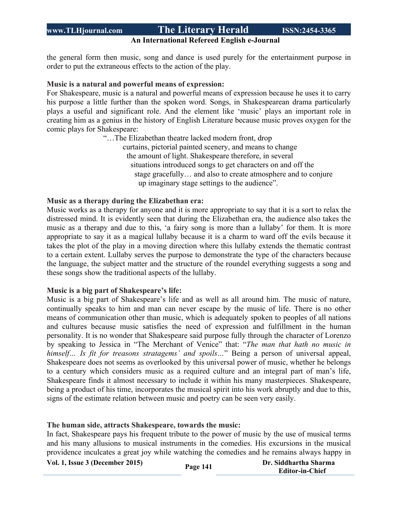## **An International Refereed English e-Journal**

the general form then music, song and dance is used purely for the entertainment purpose in order to put the extraneous effects to the action of the play.

### **Music is a natural and powerful means of expression:**

For Shakespeare, music is a natural and powerful means of expression because he uses it to carry his purpose a little further than the spoken word. Songs, in Shakespearean drama particularly plays a useful and significant role. And the element like 'music' plays an important role in creating him as a genius in the history of English Literature because music proves oxygen for the comic plays for Shakespeare:

> "…The Elizabethan theatre lacked modern front, drop curtains, pictorial painted scenery, and means to change the amount of light. Shakespeare therefore, in several situations introduced songs to get characters on and off the stage gracefully… and also to create atmosphere and to conjure up imaginary stage settings to the audience".

### **Music as a therapy during the Elizabethan era:**

Music works as a therapy for anyone and it is more appropriate to say that it is a sort to relax the distressed mind. It is evidently seen that during the Elizabethan era, the audience also takes the music as a therapy and due to this, 'a fairy song is more than a lullaby' for them. It is more appropriate to say it as a magical lullaby because it is a charm to ward off the evils because it takes the plot of the play in a moving direction where this lullaby extends the thematic contrast to a certain extent. Lullaby serves the purpose to demonstrate the type of the characters because the language, the subject matter and the structure of the roundel everything suggests a song and these songs show the traditional aspects of the lullaby.

#### **Music is a big part of Shakespeare's life:**

Music is a big part of Shakespeare's life and as well as all around him. The music of nature, continually speaks to him and man can never escape by the music of life. There is no other means of communication other than music, which is adequately spoken to peoples of all nations and cultures because music satisfies the need of expression and fulfillment in the human personality. It is no wonder that Shakespeare said purpose fully through the character of Lorenzo by speaking to Jessica in "The Merchant of Venice" that: "*The man that hath no music in himself… Is fit for treasons stratagems' and spoils…*" Being a person of universal appeal, Shakespeare does not seems as overlooked by this universal power of music, whether he belongs to a century which considers music as a required culture and an integral part of man's life, Shakespeare finds it almost necessary to include it within his many masterpieces. Shakespeare, being a product of his time, incorporates the musical spirit into his work abruptly and due to this, signs of the estimate relation between music and poetry can be seen very easily.

#### **The human side, attracts Shakespeare, towards the music:**

In fact, Shakespeare pays his frequent tribute to the power of music by the use of musical terms and his many allusions to musical instruments in the comedies. His excursions in the musical providence inculcates a great joy while watching the comedies and he remains always happy in

|  |  |  |  |  | Vol. 1, Issue 3 (December 2015) |  |
|--|--|--|--|--|---------------------------------|--|
|--|--|--|--|--|---------------------------------|--|

**<sup>1,</sup> 1, Dr. Siddhartha Sharma Page 141 Editor-in-Chief**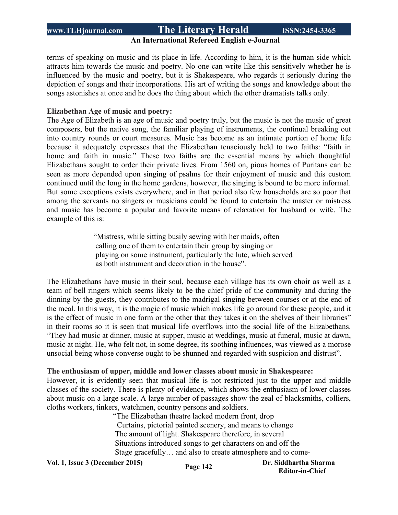## **An International Refereed English e-Journal**

terms of speaking on music and its place in life. According to him, it is the human side which attracts him towards the music and poetry. No one can write like this sensitively whether he is influenced by the music and poetry, but it is Shakespeare, who regards it seriously during the depiction of songs and their incorporations. His art of writing the songs and knowledge about the songs astonishes at once and he does the thing about which the other dramatists talks only.

### **Elizabethan Age of music and poetry:**

The Age of Elizabeth is an age of music and poetry truly, but the music is not the music of great composers, but the native song, the familiar playing of instruments, the continual breaking out into country rounds or court measures. Music has become as an intimate portion of home life because it adequately expresses that the Elizabethan tenaciously held to two faiths: "faith in home and faith in music." These two faiths are the essential means by which thoughtful Elizabethans sought to order their private lives. From 1560 on, pious homes of Puritans can be seen as more depended upon singing of psalms for their enjoyment of music and this custom continued until the long in the home gardens, however, the singing is bound to be more informal. But some exceptions exists everywhere, and in that period also few households are so poor that among the servants no singers or musicians could be found to entertain the master or mistress and music has become a popular and favorite means of relaxation for husband or wife. The example of this is:

> "Mistress, while sitting busily sewing with her maids, often calling one of them to entertain their group by singing or playing on some instrument, particularly the lute, which served as both instrument and decoration in the house".

The Elizabethans have music in their soul, because each village has its own choir as well as a team of bell ringers which seems likely to be the chief pride of the community and during the dinning by the guests, they contributes to the madrigal singing between courses or at the end of the meal. In this way, it is the magic of music which makes life go around for these people, and it is the effect of music in one form or the other that they takes it on the shelves of their libraries" in their rooms so it is seen that musical life overflows into the social life of the Elizabethans. "They had music at dinner, music at supper, music at weddings, music at funeral, music at dawn, music at night. He, who felt not, in some degree, its soothing influences, was viewed as a morose unsocial being whose converse ought to be shunned and regarded with suspicion and distrust".

#### **The enthusiasm of upper, middle and lower classes about music in Shakespeare:**

However, it is evidently seen that musical life is not restricted just to the upper and middle classes of the society. There is plenty of evidence, which shows the enthusiasm of lower classes about music on a large scale. A large number of passages show the zeal of blacksmiths, colliers, cloths workers, tinkers, watchmen, country persons and soldiers.

> "The Elizabethan theatre lacked modern front, drop Curtains, pictorial painted scenery, and means to change The amount of light. Shakespeare therefore, in several Situations introduced songs to get characters on and off the Stage gracefully… and also to create atmosphere and to come-

**Vol. 1, Issue <sup>3</sup> (December 2015) Page <sup>142</sup> Dr. Siddhartha Sharma**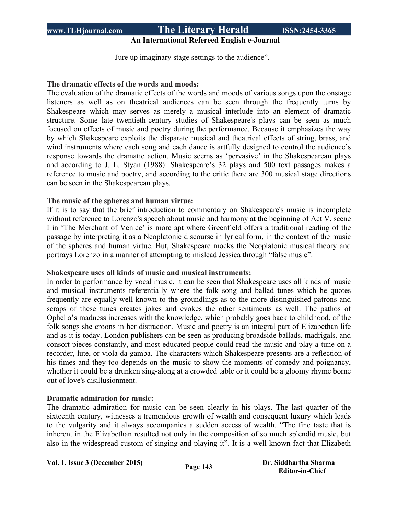## **An International Refereed English e-Journal**

Jure up imaginary stage settings to the audience".

### **The dramatic effects of the words and moods:**

The evaluation of the dramatic effects of the words and moods of various songs upon the onstage listeners as well as on theatrical audiences can be seen through the frequently turns by Shakespeare which may serves as merely a musical interlude into an element of dramatic structure. Some late twentieth-century studies of Shakespeare's plays can be seen as much focused on effects of music and poetry during the performance. Because it emphasizes the way by which Shakespeare exploits the disparate musical and theatrical effects of string, brass, and wind instruments where each song and each dance is artfully designed to control the audience's response towards the dramatic action. Music seems as 'pervasive' in the Shakespearean plays and according to J. L. Styan (1988): Shakespeare's 32 plays and 500 text passages makes a reference to music and poetry, and according to the critic there are 300 musical stage directions can be seen in the Shakespearean plays.

### **The music of the spheres and human virtue:**

If it is to say that the brief introduction to commentary on Shakespeare's music is incomplete without reference to Lorenzo's speech about music and harmony at the beginning of Act V, scene I in 'The Merchant of Venice' is more apt where Greenfield offers a traditional reading of the passage by interpreting it as a Neoplatonic discourse in lyrical form, in the context of the music of the spheres and human virtue. But, Shakespeare mocks the Neoplatonic musical theory and portrays Lorenzo in a manner of attempting to mislead Jessica through "false music".

### **Shakespeare uses all kinds of music and musical instruments:**

In order to performance by vocal music, it can be seen that Shakespeare uses all kinds of music and musical instruments referentially where the folk song and ballad tunes which he quotes frequently are equally well known to the groundlings as to the more distinguished patrons and scraps of these tunes creates jokes and evokes the other sentiments as well. The pathos of Ophelia's madness increases with the knowledge, which probably goes back to childhood, of the folk songs she croons in her distraction. Music and poetry is an integral part of Elizabethan life and as it is today. London publishers can be seen as producing broadside ballads, madrigals, and consort pieces constantly, and most educated people could read the music and play a tune on a recorder, lute, or viola da gamba. The characters which Shakespeare presents are a reflection of his times and they too depends on the music to show the moments of comedy and poignancy, whether it could be a drunken sing-along at a crowded table or it could be a gloomy rhyme borne out of love's disillusionment.

### **Dramatic admiration for music:**

The dramatic admiration for music can be seen clearly in his plays. The last quarter of the sixteenth century, witnesses a tremendous growth of wealth and consequent luxury which leads to the vulgarity and it always accompanies a sudden access of wealth. "The fine taste that is inherent in the Elizabethan resulted not only in the composition of so much splendid music, but also in the widespread custom of singing and playing it". It is a well-known fact that Elizabeth

| Vol. 1, Issue 3 (December 2015) | Page 143 | Dr. Siddhartha Sharma  |
|---------------------------------|----------|------------------------|
|                                 |          | <b>Editor-in-Chief</b> |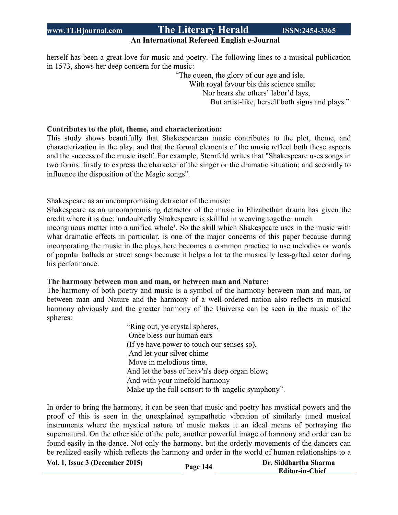### **An International Refereed English e-Journal**

herself has been a great love for music and poetry. The following lines to a musical publication in 1573, shows her deep concern for the music:

 "The queen, the glory of our age and isle, With royal favour bis this science smile; Nor hears she others' labor'd lays, But artist-like, herself both signs and plays."

### **Contributes to the plot, theme, and characterization:**

This study shows beautifully that Shakespearean music contributes to the plot, theme, and characterization in the play, and that the formal elements of the music reflect both these aspects and the success of the music itself. For example, Sternfeld writes that "Shakespeare uses songs in two forms: firstly to express the character of the singer or the dramatic situation; and secondly to influence the disposition of the Magic songs".

Shakespeare as an uncompromising detractor of the music:

Shakespeare as an uncompromising detractor of the music in Elizabethan drama has given the credit where it is due: 'undoubtedly Shakespeare is skillful in weaving together much incongruous matter into a unified whole'. So the skill which Shakespeare uses in the music with what dramatic effects in particular, is one of the major concerns of this paper because during incorporating the music in the plays here becomes a common practice to use melodies or words of popular ballads or street songs because it helps a lot to the musically less-gifted actor during his performance.

#### **The harmony between man and man, or between man and Nature:**

The harmony of both poetry and music is a symbol of the harmony between man and man, or between man and Nature and the harmony of a well-ordered nation also reflects in musical harmony obviously and the greater harmony of the Universe can be seen in the music of the spheres:

> "Ring out, ye crystal spheres, Once bless our human ears (If ye have power to touch our senses so), And let your silver chime Move in melodious time, And let the bass of heav'n's deep organ blow**;** And with your ninefold harmony Make up the full consort to th' angelic symphony".

In order to bring the harmony, it can be seen that music and poetry has mystical powers and the proof of this is seen in the unexplained sympathetic vibration of similarly tuned musical instruments where the mystical nature of music makes it an ideal means of portraying the supernatural. On the other side of the pole, another powerful image of harmony and order can be found easily in the dance. Not only the harmony, but the orderly movements of the dancers can be realized easily which reflects the harmony and order in the world of human relationships to a

**Vol. 1, Issue <sup>3</sup> (December 2015) Page <sup>144</sup> Dr. Siddhartha Sharma**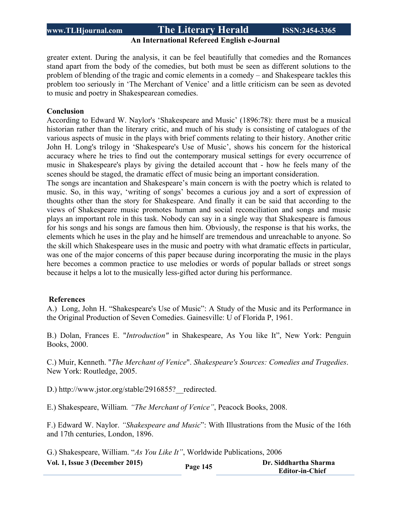## **An International Refereed English e-Journal**

greater extent. During the analysis, it can be feel beautifully that comedies and the Romances stand apart from the body of the comedies, but both must be seen as different solutions to the problem of blending of the tragic and comic elements in a comedy – and Shakespeare tackles this problem too seriously in 'The Merchant of Venice' and a little criticism can be seen as devoted to music and poetry in Shakespearean comedies.

#### **Conclusion**

According to Edward W. Naylor's 'Shakespeare and Music' (1896:78): there must be a musical historian rather than the literary critic, and much of his study is consisting of catalogues of the various aspects of music in the plays with brief comments relating to their history. Another critic John H. Long's trilogy in 'Shakespeare's Use of Music', shows his concern for the historical accuracy where he tries to find out the contemporary musical settings for every occurrence of music in Shakespeare's plays by giving the detailed account that - how he feels many of the scenes should be staged, the dramatic effect of music being an important consideration.

The songs are incantation and Shakespeare's main concern is with the poetry which is related to music. So, in this way, 'writing of songs' becomes a curious joy and a sort of expression of thoughts other than the story for Shakespeare. And finally it can be said that according to the views of Shakespeare music promotes human and social reconciliation and songs and music plays an important role in this task. Nobody can say in a single way that Shakespeare is famous for his songs and his songs are famous then him. Obviously, the response is that his works, the elements which he uses in the play and he himself are tremendous and unreachable to anyone. So the skill which Shakespeare uses in the music and poetry with what dramatic effects in particular, was one of the major concerns of this paper because during incorporating the music in the plays here becomes a common practice to use melodies or words of popular ballads or street songs because it helps a lot to the musically less-gifted actor during his performance.

### **References**

A.) Long, John H. "Shakespeare's Use of Music": A Study of the Music and its Performance in the Original Production of Seven Comedies. Gainesville: U of Florida P, 1961.

B.) Dolan, Frances E. "*Introduction"* in Shakespeare, As You like It", New York: Penguin Books, 2000.

C.) Muir, Kenneth. "*The Merchant of Venice*". *Shakespeare's Sources: Comedies and Tragedies*. New York: Routledge, 2005.

D.) http://www.jstor.org/stable/2916855? redirected.

E.) Shakespeare, William*. "The Merchant of Venice"*, Peacock Books, 2008.

F.) Edward W. Naylor. *"Shakespeare and Music*": With Illustrations from the Music of the 16th and 17th centuries, London, 1896.

G.) Shakespeare, William. "*As You Like It"*, Worldwide Publications, 2006

| Vol. 1, Issue 3 (December 2015) | Page 145 | Dr. Siddhartha Sharma  |
|---------------------------------|----------|------------------------|
|                                 |          | <b>Editor-in-Chief</b> |